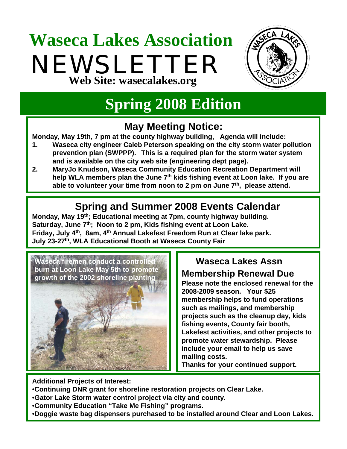# **Waseca Lakes Association** NEWSLETTER **Web Site: wasecalakes.org**



# **Spring 2008 Edition**

## **May Meeting Notice:**

**Monday, May 19th, 7 pm at the county highway building, Agenda will include:**

- **1. Waseca city engineer Caleb Peterson speaking on the city storm water pollution prevention plan (SWPPP). This is a required plan for the storm water system and is available on the city web site (engineering dept page).**
- **2. MaryJo Knudson, Waseca Community Education Recreation Department will**  help WLA members plan the June 7<sup>th</sup> kids fishing event at Loon lake. If you are **able to volunteer your time from noon to 2 pm on June 7th, please attend.**

## **Spring and Summer 2008 Events Calendar**

**Monday, May 19th; Educational meeting at 7pm, county highway building.** Saturday, June 7<sup>th</sup>; Noon to 2 pm, Kids fishing event at Loon Lake. **Friday, July 4th, 8am, 4th Annual Lakefest Freedom Run at Clear lake park. July 23-27th, WLA Educational Booth at Waseca County Fair**



## **Waseca Lakes Assn**

**Membership Renewal Due**

**Please note the enclosed renewal for the 2008-2009 season. Your \$25 membership helps to fund operations such as mailings, and membership projects such as the cleanup day, kids fishing events, County fair booth, Lakefest activities, and other projects to promote water stewardship. Please include your email to help us save mailing costs.** 

**Thanks for your continued support.**

**Additional Projects of Interest:**

- •**Continuing DNR grant for shoreline restoration projects on Clear Lake.**
- •**Gator Lake Storm water control project via city and county.**
- •**Community Education "Take Me Fishing" programs.**
- •**Doggie waste bag dispensers purchased to be installed around Clear and Loon Lakes.**